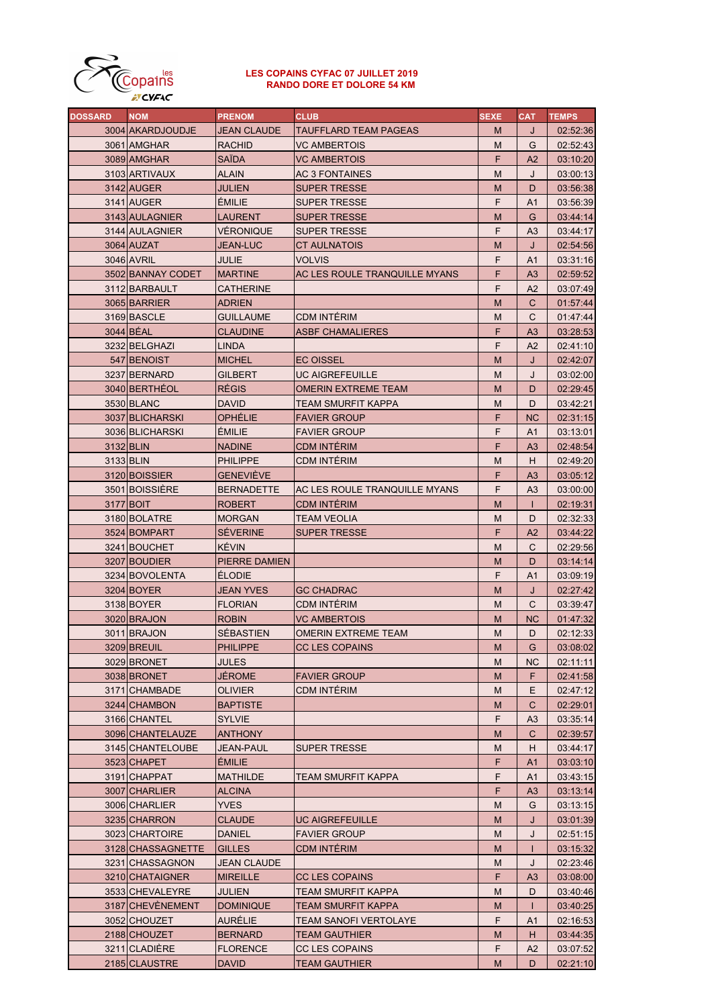

## LES COPAINS CYFAC 07 JUILLET 2019 RANDO DORE ET DOLORE 54 KM

| <b>DOSSARD</b> | <b>NOM</b>        | <b>PRENOM</b>     | <b>CLUB</b>                   | <b>SEXE</b> | <b>CAT</b>     | <b>TEMPS</b> |
|----------------|-------------------|-------------------|-------------------------------|-------------|----------------|--------------|
|                | 3004 AKARDJOUDJE  | JEAN CLAUDE       | <b>TAUFFLARD TEAM PAGEAS</b>  | M           | J              | 02:52:36     |
|                | 3061 AMGHAR       | RACHID            | VC AMBERTOIS                  | M           | G              | 02:52:43     |
|                | 3089 AMGHAR       | SAÏDA             | VC AMBERTOIS                  | F           | A2             | 03:10:20     |
|                | 3103 ARTIVAUX     | ALAIN             | <b>AC 3 FONTAINES</b>         | M           | J              | 03:00:13     |
|                | 3142 AUGER        | JULIEN            | <b>SUPER TRESSE</b>           | M           | D              | 03:56:38     |
|                | 3141 AUGER        | <b>EMILIE</b>     | <b>SUPER TRESSE</b>           | F           | A1             | 03:56:39     |
|                | 3143 AULAGNIER    | LAURENT           | <b>SUPER TRESSE</b>           | M           | G              | 03:44:14     |
|                | 3144 AULAGNIER    | VÉRONIQUE         | <b>SUPER TRESSE</b>           | F           | A3             | 03:44:17     |
|                | 3064 AUZAT        | JEAN-LUC          | CT AULNATOIS                  | M           | J              | 02:54:56     |
|                | 3046 AVRIL        | JULIE             | <b>VOLVIS</b>                 | F           | A <sub>1</sub> | 03:31:16     |
|                | 3502 BANNAY CODET | <b>MARTINE</b>    | AC LES ROULE TRANQUILLE MYANS | F           | A <sub>3</sub> | 02:59:52     |
|                |                   |                   |                               | F           |                |              |
|                | 3112 BARBAULT     | CATHERINE         |                               |             | A2             | 03:07:49     |
|                | 3065 BARRIER      | <b>ADRIEN</b>     |                               | M           | C              | 01:57:44     |
|                | 3169 BASCLE       | <b>GUILLAUME</b>  | <b>CDM INTERIM</b>            | М           | C              | 01:47:44     |
|                | 3044 BEAL         | <b>CLAUDINE</b>   | <b>ASBF CHAMALIERES</b>       | F           | A <sub>3</sub> | 03:28:53     |
|                | 3232 BELGHAZI     | LINDA             |                               | F           | A2             | 02:41:10     |
|                | 547 BENOIST       | <b>MICHEL</b>     | <b>EC OISSEL</b>              | M           | J              | 02:42:07     |
|                | 3237 BERNARD      | GILBERT           | UC AIGREFEUILLE               | M           | J              | 03:02:00     |
|                | 3040 BERTHÉOL     | <b>RÉGIS</b>      | OMERIN EXTREME TEAM           | M           | D              | 02:29:45     |
|                | 3530 BLANC        | David             | TEAM SMURFIT KAPPA            | М           | D              | 03:42:21     |
|                | 3037 BLICHARSKI   | OPHÉLIE           | <b>FAVIER GROUP</b>           | F           | <b>NC</b>      | 02:31:15     |
|                | 3036 BLICHARSKI   | <b>ÉMILIE</b>     | <b>FAVIER GROUP</b>           | F           | A1             | 03:13:01     |
|                | 3132 BLIN         | <b>NADINE</b>     | <b>CDM INTÉRIM</b>            | F           | A <sub>3</sub> | 02:48:54     |
|                | 3133 BLIN         | <b>PHILIPPE</b>   | CDM INTERIM                   | M           | H.             | 02:49:20     |
|                | 3120 BOISSIER     | <b>GENEVIEVE</b>  |                               | F           | A <sub>3</sub> | 03:05:12     |
|                | 3501 BOISSIÈRE    | <b>BERNADETTE</b> | AC LES ROULE TRANQUILLE MYANS | F           | A3             | 03:00:00     |
|                | 3177 BOIT         | <b>ROBERT</b>     | CDM INTERIM                   | M           | $\mathbf{I}$   | 02:19:31     |
|                | 3180 BOLATRE      | <b>MORGAN</b>     | TEAM VEOLIA                   | M           | D              | 02:32:33     |
|                | 3524 BOMPART      | <b>SEVERINE</b>   | <b>SUPER TRESSE</b>           | F           | A <sub>2</sub> | 03:44:22     |
|                | 3241 BOUCHET      | <b>KÉVIN</b>      |                               | M           | C              | 02:29:56     |
|                | 3207 BOUDIER      | PIERRE DAMIEN     |                               | M           | D              | 03:14:14     |
|                | 3234 BOVOLENTA    | <b>ELODIE</b>     |                               | F           | A <sub>1</sub> | 03:09:19     |
|                | 3204 BOYER        | JEAN YVES         | <b>GC CHADRAC</b>             | M           | J              | 02:27:42     |
|                | 3138 BOYER        | <b>FLORIAN</b>    | CDM INTERIM                   | M           | С              | 03:39:47     |
|                | 3020 BRAJON       | <b>ROBIN</b>      | <b>VC AMBERTOIS</b>           | M           | NC             | 01:47:32     |
|                | 3011 BRAJON       | SÉBASTIEN         | OMERIN EXTREME TEAM           | M           | D              | 02:12:33     |
|                |                   |                   |                               |             |                |              |
|                | 3209 BREUIL       | <b>PHILIPPE</b>   | <b>CC LES COPAINS</b>         | M           | G              | 03:08:02     |
|                | 3029 BRONET       | JULES             |                               | M           | NС             | 02:11:11     |
|                | 3038 BRONET       | JÉROME            | <b>FAVIER GROUP</b>           | M           | F.             | 02:41:58     |
|                | 3171 CHAMBADE     | <b>OLIVIER</b>    | CDM INTÉRIM                   | M           | E.             | 02:47:12     |
|                | 3244 CHAMBON      | <b>BAPTISTE</b>   |                               | M           | С              | 02:29:01     |
|                | 3166 CHANTEL      | <b>SYLVIE</b>     |                               | F           | A3             | 03:35:14     |
|                | 3096 CHANTELAUZE  | <b>ANTHONY</b>    |                               | M           | С              | 02:39:57     |
|                | 3145 CHANTELOUBE  | JEAN-PAUL         | SUPER TRESSE                  | м           | H.             | 03:44:17     |
|                | 3523 CHAPET       | <b>EMILIE</b>     |                               | F.          | A1             | 03:03:10     |
|                | 3191 CHAPPAT      | <b>MATHILDE</b>   | TEAM SMURFIT KAPPA            | F           | A1             | 03:43:15     |
|                | 3007 CHARLIER     | ALCINA            |                               | F.          | A <sub>3</sub> | 03:13:14     |
|                | 3006 CHARLIER     | YVES              |                               | M           | G              | 03:13:15     |
|                | 3235 CHARRON      | CLAUDE            | UC AIGREFEUILLE               | M           | J              | 03:01:39     |
|                | 3023 CHARTOIRE    | DANIEL            | <b>FAVIER GROUP</b>           | M           | J              | 02:51:15     |
|                | 3128 CHASSAGNETTE | <b>GILLES</b>     | CDM INTERIM                   | M           | L              | 03:15:32     |
|                | 3231 CHASSAGNON   | JEAN CLAUDE       |                               | M           | J              | 02:23:46     |
|                | 3210 CHATAIGNER   | <b>MIREILLE</b>   | <b>CC LES COPAINS</b>         | F           | A <sub>3</sub> | 03:08:00     |
|                | 3533 CHEVALEYRE   | JULIEN            | TEAM SMURFIT KAPPA            | M           | D              | 03:40:46     |
|                | 3187 CHEVENEMENT  | <b>DOMINIQUE</b>  | TEAM SMURFIT KAPPA            | M           | L              | 03:40:25     |
|                | 3052 CHOUZET      | AURÉLIE           | TEAM SANOFI VERTOLAYE         | F           | A1             | 02:16:53     |
|                | 2188 CHOUZET      | <b>BERNARD</b>    | TEAM GAUTHIER                 | M           | H              | 03:44:35     |
|                | 3211 CLADIERE     | <b>FLORENCE</b>   | CC LES COPAINS                | F           | A2             | 03:07:52     |
|                | 2185 CLAUSTRE     | <b>DAVID</b>      | TEAM GAUTHIER                 | M           | D              | 02:21:10     |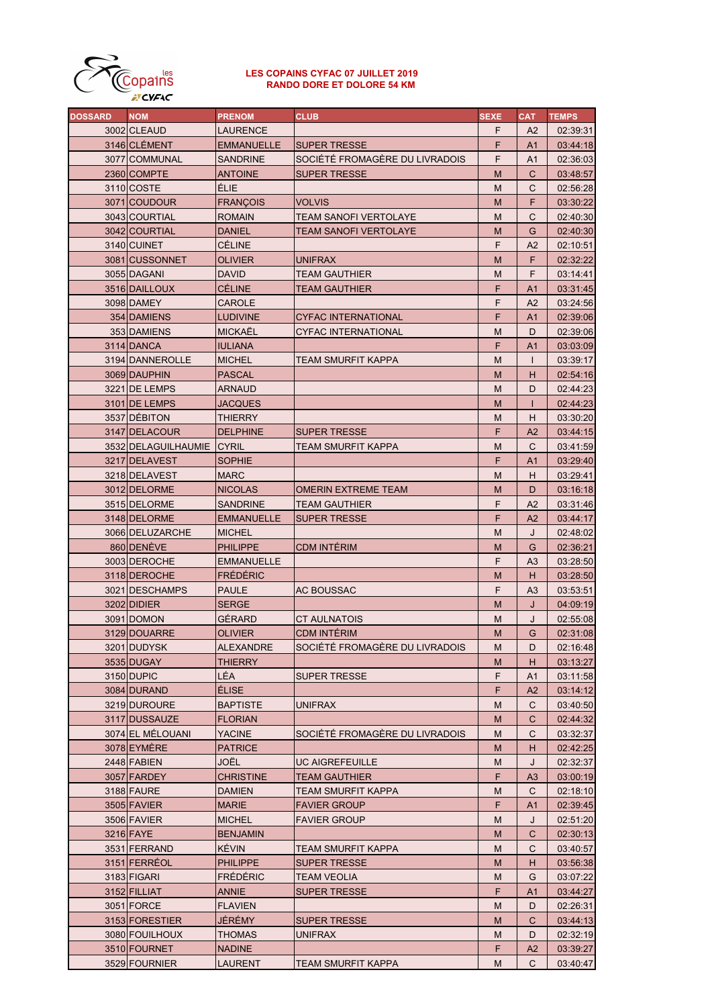

## LES COPAINS CYFAC 07 JUILLET 2019 RANDO DORE ET DOLORE 54 KM

| <b>DOSSARD</b> | <b>NOM</b>                | <b>PRENOM</b>     | <b>CLUB</b>                    | <b>SEXE</b> | <b>CAT</b>     | <b>TEMPS</b> |
|----------------|---------------------------|-------------------|--------------------------------|-------------|----------------|--------------|
|                | 3002 CLEAUD               | <b>LAURENCE</b>   |                                | F           | A2             | 02:39:31     |
|                | 3146 CLÉMENT              | <b>EMMANUELLE</b> | <b>SUPER TRESSE</b>            | F           | A1             | 03:44:18     |
|                | 3077 COMMUNAL             | <b>SANDRINE</b>   | SOCIÉTÉ FROMAGÈRE DU LIVRADOIS | F           | A1             | 02:36:03     |
|                | 2360 COMPTE               | <b>ANTOINE</b>    | <b>SUPER TRESSE</b>            | M           | C              | 03:48:57     |
|                | 3110 COSTE                | ÉLIE              |                                | M           | C              | 02:56:28     |
|                | 3071 COUDOUR              | <b>FRANÇOIS</b>   | <b>VOLVIS</b>                  | M           | F              | 03:30:22     |
|                | 3043 COURTIAL             | <b>ROMAIN</b>     | TEAM SANOFI VERTOLAYE          | М           | C              | 02:40:30     |
|                | 3042 COURTIAL             | <b>DANIEL</b>     | TEAM SANOFI VERTOLAYE          | M           | G              | 02:40:30     |
|                | 3140 CUINET               | CÉLINE            |                                | F           | A2             | 02:10:51     |
|                | 3081 CUSSONNET            |                   |                                |             | F              |              |
|                |                           | OLIVIER           | <b>UNIFRAX</b>                 | M           |                | 02:32:22     |
|                | 3055 DAGANI               | <b>DAVID</b>      | TEAM GAUTHIER                  | М           | F              | 03:14:41     |
|                | 3516 DAILLOUX             | <b>CÉLINE</b>     | TEAM GAUTHIER                  | F           | A <sub>1</sub> | 03:31:45     |
|                | 3098 DAMEY                | <b>CAROLE</b>     |                                | F           | A <sub>2</sub> | 03:24:56     |
|                | 354 DAMIENS               | <b>LUDIVINE</b>   | <b>CYFAC INTERNATIONAL</b>     | F           | A1             | 02:39:06     |
|                | 353 DAMIENS               | <b>MICKAËL</b>    | CYFAC INTERNATIONAL            | М           | D              | 02:39:06     |
|                | 3114 DANCA                | <b>IULIANA</b>    |                                | F           | A1             | 03:03:09     |
|                | 3194 DANNEROLLE           | <b>MICHEL</b>     | TEAM SMURFIT KAPPA             | М           | $\mathsf{I}$   | 03:39:17     |
|                | 3069 DAUPHIN              | <b>PASCAL</b>     |                                | M           | н              | 02:54:16     |
|                | 3221 DE LEMPS             | ARNAUD            |                                | М           | D              | 02:44:23     |
|                | 3101 DE LEMPS             | JACQUES           |                                | M           |                | 02:44:23     |
|                | 3537 DÉBITON              | <b>THIERRY</b>    |                                | М           | н              | 03:30:20     |
|                | 3147 DELACOUR             | <b>DELPHINE</b>   | <b>SUPER TRESSE</b>            | F           | A2             | 03:44:15     |
|                | 3532 DELAGUILHAUMIE CYRIL |                   | TEAM SMURFIT KAPPA             | М           | C              | 03:41:59     |
|                | 3217 DELAVEST             | <b>SOPHIE</b>     |                                | F           | A1             | 03:29:40     |
|                | 3218 DELAVEST             | <b>MARC</b>       |                                | М           | н              | 03:29:41     |
|                | 3012 DELORME              | <b>NICOLAS</b>    | OMERIN EXTREME TEAM            | M           | D              | 03:16:18     |
|                | 3515 DELORME              | <b>SANDRINE</b>   | TEAM GAUTHIER                  | F           | A2             | 03:31:46     |
|                |                           |                   |                                |             |                |              |
|                | 3148 DELORME              | <b>EMMANUELLE</b> | <b>SUPER TRESSE</b>            | F           | A2             | 03:44:17     |
|                | 3066 DELUZARCHE           | <b>MICHEL</b>     |                                | М           | J              | 02:48:02     |
|                | 860 DENEVE                | <b>PHILIPPE</b>   | <b>CDM INTÉRIM</b>             | M           | G              | 02:36:21     |
|                | 3003 DEROCHE              | <b>EMMANUELLE</b> |                                | F           | A <sub>3</sub> | 03:28:50     |
|                | 3118 DEROCHE              | FRÉDÉRIC          |                                | M           | H              | 03:28:50     |
|                | 3021 DESCHAMPS            | <b>PAULE</b>      | AC BOUSSAC                     | F           | A3             | 03:53:51     |
|                | 3202 DIDIER               | <b>SERGE</b>      |                                | M           | J              | 04:09:19     |
|                | 3091 DOMON                | GÉRARD            | CT AULNATOIS                   | M           | J              | 02:55:08     |
|                | 3129 DOUARRE              | <b>OLIVIER</b>    | <b>CDM INTÉRIM</b>             | M           | G              | 02:31:08     |
|                | 3201 DUDYSK               | <b>ALEXANDRE</b>  | SOCIÉTÉ FROMAGÈRE DU LIVRADOIS | M           | D              | 02:16:48     |
|                | 3535 DUGAY                | THIERRY           |                                | М           | н              | 03:13:27     |
|                | 3150 DUPIC                | LÉA               | <b>SUPER TRESSE</b>            | F           | A1             | 03:11:58     |
|                | 3084 DURAND               | <b>ELISE</b>      |                                | F           | A <sub>2</sub> | 03:14:12     |
|                | 3219 DUROURE              | <b>BAPTISTE</b>   | <b>UNIFRAX</b>                 | М           | C              | 03:40:50     |
|                | 3117 DUSSAUZE             | <b>FLORIAN</b>    |                                | M           | C              | 02:44:32     |
|                | 3074 EL MÉLOUANI          | <b>YACINE</b>     | SOCIÉTÉ FROMAGÉRE DU LIVRADOIS | М           | C              | 03:32:37     |
|                | 3078 EYMERE               | <b>PATRICE</b>    |                                | М           | н              | 02:42:25     |
|                | 2448 FABIEN               | JOËL              | <b>UC AIGREFEUILLE</b>         | М           | J              | 02:32:37     |
|                | 3057 FARDEY               | <b>CHRISTINE</b>  | TEAM GAUTHIER                  | F           | A <sub>3</sub> | 03:00:19     |
|                | 3188 FAURE                | <b>DAMIEN</b>     | TEAM SMURFIT KAPPA             | М           | C              | 02:18:10     |
|                | 3505 FAVIER               | <b>MARIE</b>      | <b>FAVIER GROUP</b>            | F           | A1             | 02:39:45     |
|                | 3506 FAVIER               | <b>MICHEL</b>     | <b>FAVIER GROUP</b>            | М           | J              | 02:51:20     |
|                |                           |                   |                                |             |                |              |
|                | 3216 FAYE                 | <b>BENJAMIN</b>   |                                | M           | C              | 02:30:13     |
|                | 3531 FERRAND              | <b>KÉVIN</b>      | TEAM SMURFIT KAPPA             | М           | C              | 03:40:57     |
|                | 3151 FERREOL              | <b>PHILIPPE</b>   | <b>SUPER TRESSE</b>            | M           | н              | 03:56:38     |
|                | 3183 FIGARI               | <b>FRÉDÉRIC</b>   | TEAM VEOLIA                    | М           | G              | 03:07:22     |
|                | 3152 FILLIAT              | ANNIE             | <b>SUPER TRESSE</b>            | F           | A <sub>1</sub> | 03:44:27     |
|                | 3051 FORCE                | <b>FLAVIEN</b>    |                                | М           | D              | 02:26:31     |
|                | 3153 FORESTIER            | JÉRÉMY            | <b>SUPER TRESSE</b>            | M           | C              | 03:44:13     |
|                | 3080 FOUILHOUX            | THOMAS            | UNIFRAX                        | М           | D              | 02:32:19     |
|                | 3510 FOURNET              | <b>NADINE</b>     |                                | F           | A <sub>2</sub> | 03:39:27     |
|                | 3529 FOURNIER             | LAURENT           | TEAM SMURFIT KAPPA             | М           | C              | 03:40:47     |